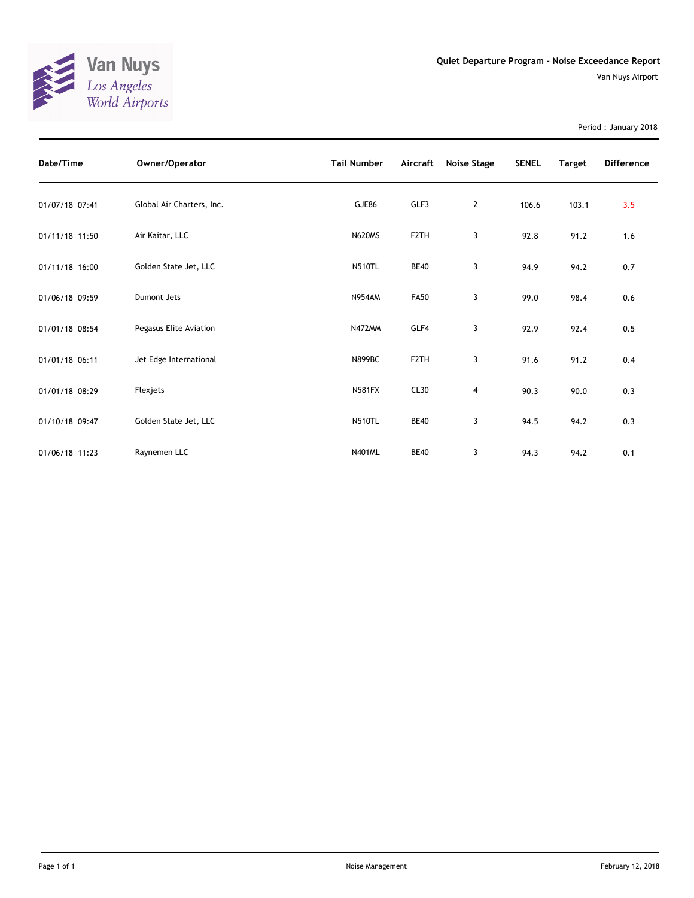

Period : January 2018

| Date/Time      | Owner/Operator            | <b>Tail Number</b> | Aircraft          | Noise Stage    | <b>SENEL</b> | <b>Target</b> | <b>Difference</b> |
|----------------|---------------------------|--------------------|-------------------|----------------|--------------|---------------|-------------------|
| 01/07/18 07:41 | Global Air Charters, Inc. | GJE86              | GLF3              | $\overline{2}$ | 106.6        | 103.1         | 3.5               |
| 01/11/18 11:50 | Air Kaitar, LLC           | <b>N620MS</b>      | F <sub>2</sub> TH | 3              | 92.8         | 91.2          | 1.6               |
| 01/11/18 16:00 | Golden State Jet, LLC     | <b>N510TL</b>      | <b>BE40</b>       | 3              | 94.9         | 94.2          | 0.7               |
| 01/06/18 09:59 | Dumont Jets               | <b>N954AM</b>      | <b>FA50</b>       | 3              | 99.0         | 98.4          | 0.6               |
| 01/01/18 08:54 | Pegasus Elite Aviation    | N472MM             | GLF4              | 3              | 92.9         | 92.4          | 0.5               |
| 01/01/18 06:11 | Jet Edge International    | <b>N899BC</b>      | F <sub>2</sub> TH | 3              | 91.6         | 91.2          | 0.4               |
| 01/01/18 08:29 | Flexjets                  | <b>N581FX</b>      | CL30              | $\overline{4}$ | 90.3         | 90.0          | 0.3               |
| 01/10/18 09:47 | Golden State Jet, LLC     | <b>N510TL</b>      | <b>BE40</b>       | 3              | 94.5         | 94.2          | 0.3               |
| 01/06/18 11:23 | Raynemen LLC              | <b>N401ML</b>      | <b>BE40</b>       | 3              | 94.3         | 94.2          | 0.1               |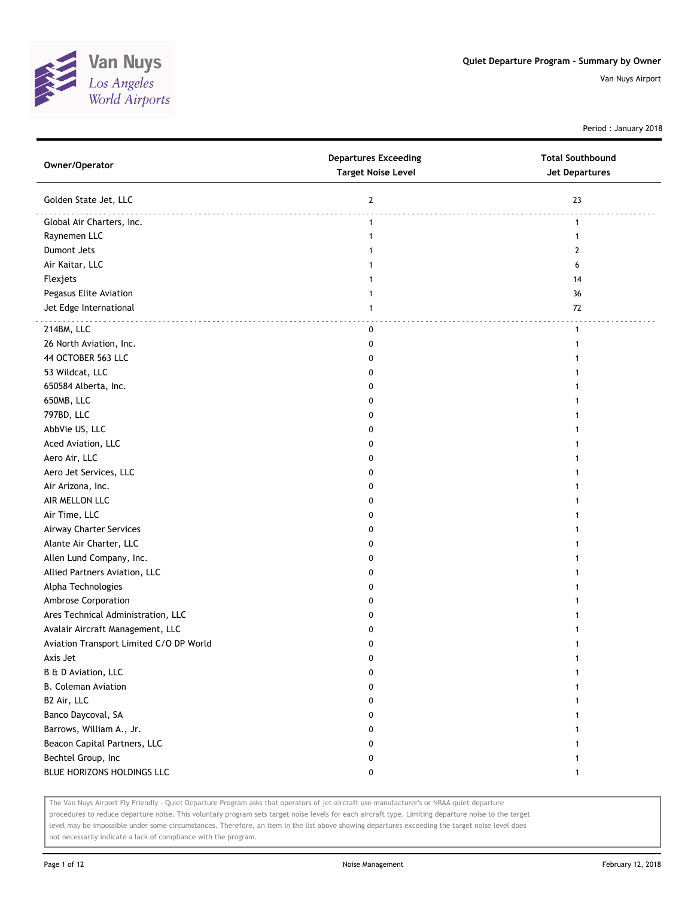

Period : January 2018

| Owner/Operator                          | <b>Departures Exceeding</b><br><b>Target Noise Level</b> | <b>Total Southbound</b><br><b>Jet Departures</b> |
|-----------------------------------------|----------------------------------------------------------|--------------------------------------------------|
| Golden State Jet, LLC                   | $\mathbf{2}$                                             | 23                                               |
| Global Air Charters, Inc.               | $\mathbf{1}$                                             | 1                                                |
| Raynemen LLC                            | 1                                                        | 1                                                |
| Dumont Jets                             |                                                          | 2                                                |
| Air Kaitar, LLC                         |                                                          | 6                                                |
| Flexjets                                |                                                          | 14                                               |
| Pegasus Elite Aviation                  | 1                                                        | 36                                               |
| Jet Edge International                  | $\mathbf{1}$                                             | 72                                               |
| 214BM, LLC                              | $\mathbf 0$                                              | .<br>1                                           |
| 26 North Aviation, Inc.                 | 0                                                        | 1                                                |
| 44 OCTOBER 563 LLC                      | 0                                                        |                                                  |
| 53 Wildcat, LLC                         | 0                                                        |                                                  |
| 650584 Alberta, Inc.                    | n                                                        |                                                  |
| 650MB, LLC                              | O                                                        |                                                  |
| 797BD, LLC                              | 0                                                        |                                                  |
| AbbVie US, LLC                          | 0                                                        |                                                  |
| Aced Aviation, LLC                      | 0                                                        |                                                  |
| Aero Air, LLC                           | 0                                                        |                                                  |
| Aero Jet Services, LLC                  | 0                                                        |                                                  |
| Air Arizona, Inc.                       | 0                                                        |                                                  |
| AIR MELLON LLC                          | 0                                                        |                                                  |
| Air Time, LLC                           | 0                                                        |                                                  |
| Airway Charter Services                 | 0                                                        |                                                  |
| Alante Air Charter, LLC                 | O                                                        |                                                  |
| Allen Lund Company, Inc.                | 0                                                        |                                                  |
| Allied Partners Aviation, LLC           | 0                                                        |                                                  |
| Alpha Technologies                      | 0                                                        |                                                  |
| Ambrose Corporation                     | 0                                                        |                                                  |
| Ares Technical Administration, LLC      | 0                                                        |                                                  |
| Avalair Aircraft Management, LLC        | 0                                                        |                                                  |
| Aviation Transport Limited C/O DP World | 0                                                        |                                                  |
| Axis Jet                                | 0                                                        |                                                  |
| B & D Aviation, LLC                     | 0                                                        |                                                  |
| <b>B. Coleman Aviation</b>              | 0                                                        |                                                  |
| B2 Air, LLC                             | 0                                                        | 1                                                |
| Banco Daycoval, SA                      | 0                                                        | 1                                                |
| Barrows, William A., Jr.                | 0                                                        | 1                                                |
| Beacon Capital Partners, LLC            | 0                                                        |                                                  |
| Bechtel Group, Inc                      | 0                                                        | 1                                                |
| BLUE HORIZONS HOLDINGS LLC              | 0                                                        | 1                                                |

The Van Nuys Airport Fly Friendly - Quiet Departure Program asks that operators of jet aircraft use manufacturer's or NBAA quiet departure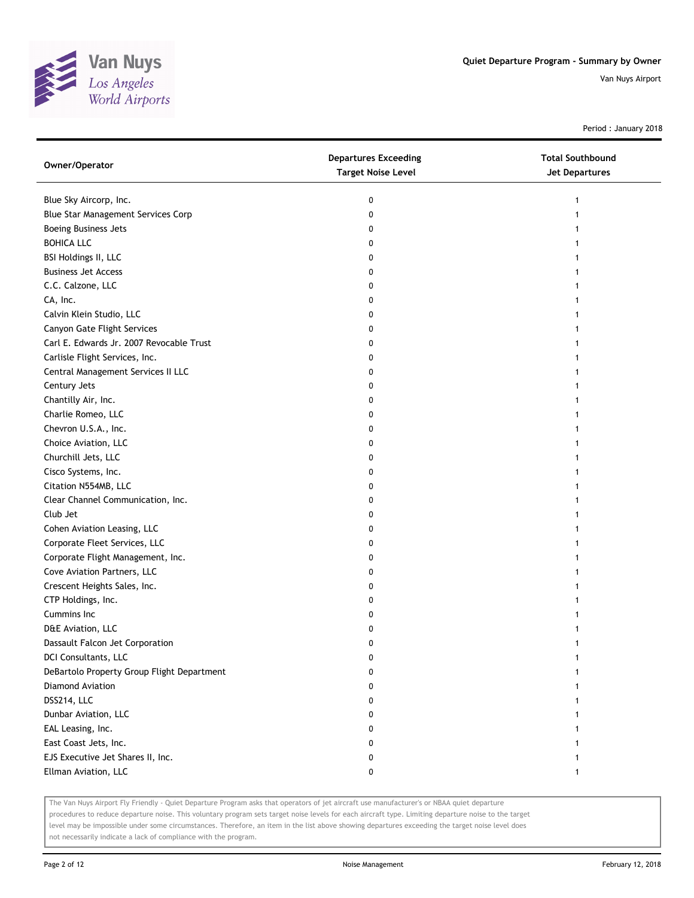

Period : January 2018

| Owner/Operator                             | <b>Departures Exceeding</b><br><b>Target Noise Level</b> | <b>Total Southbound</b><br>Jet Departures |
|--------------------------------------------|----------------------------------------------------------|-------------------------------------------|
| Blue Sky Aircorp, Inc.                     | 0                                                        | 1                                         |
| Blue Star Management Services Corp         | 0                                                        |                                           |
| <b>Boeing Business Jets</b>                | 0                                                        |                                           |
| <b>BOHICA LLC</b>                          | 0                                                        |                                           |
| BSI Holdings II, LLC                       | 0                                                        |                                           |
| <b>Business Jet Access</b>                 | 0                                                        |                                           |
| C.C. Calzone, LLC                          | 0                                                        |                                           |
| CA, Inc.                                   | 0                                                        |                                           |
| Calvin Klein Studio, LLC                   | 0                                                        |                                           |
| Canyon Gate Flight Services                | 0                                                        |                                           |
| Carl E. Edwards Jr. 2007 Revocable Trust   | 0                                                        |                                           |
| Carlisle Flight Services, Inc.             | 0                                                        |                                           |
| Central Management Services II LLC         | 0                                                        |                                           |
| Century Jets                               | 0                                                        |                                           |
| Chantilly Air, Inc.                        | 0                                                        |                                           |
| Charlie Romeo, LLC                         | 0                                                        | 1                                         |
| Chevron U.S.A., Inc.                       | 0                                                        |                                           |
| Choice Aviation, LLC                       | 0                                                        |                                           |
| Churchill Jets, LLC                        | 0                                                        |                                           |
| Cisco Systems, Inc.                        | 0                                                        |                                           |
| Citation N554MB, LLC                       | 0                                                        |                                           |
| Clear Channel Communication, Inc.          | 0                                                        |                                           |
| Club Jet                                   | 0                                                        |                                           |
| Cohen Aviation Leasing, LLC                | 0                                                        |                                           |
| Corporate Fleet Services, LLC              | 0                                                        |                                           |
| Corporate Flight Management, Inc.          | 0                                                        | 1                                         |
| Cove Aviation Partners, LLC                | 0                                                        |                                           |
| Crescent Heights Sales, Inc.               | 0                                                        |                                           |
| CTP Holdings, Inc.                         | 0                                                        |                                           |
| Cummins Inc.                               | 0                                                        |                                           |
| D&E Aviation, LLC                          | 0                                                        |                                           |
| Dassault Falcon Jet Corporation            | 0                                                        |                                           |
| DCI Consultants, LLC                       | 0                                                        |                                           |
| DeBartolo Property Group Flight Department | 0                                                        |                                           |
| Diamond Aviation                           | 0                                                        |                                           |
| DSS214, LLC                                | 0                                                        |                                           |
| Dunbar Aviation, LLC                       | 0                                                        |                                           |
| EAL Leasing, Inc.                          | 0                                                        |                                           |
| East Coast Jets, Inc.                      | 0                                                        |                                           |
| EJS Executive Jet Shares II, Inc.          | 0                                                        |                                           |
| Ellman Aviation, LLC                       | 0                                                        | 1                                         |

The Van Nuys Airport Fly Friendly - Quiet Departure Program asks that operators of jet aircraft use manufacturer's or NBAA quiet departure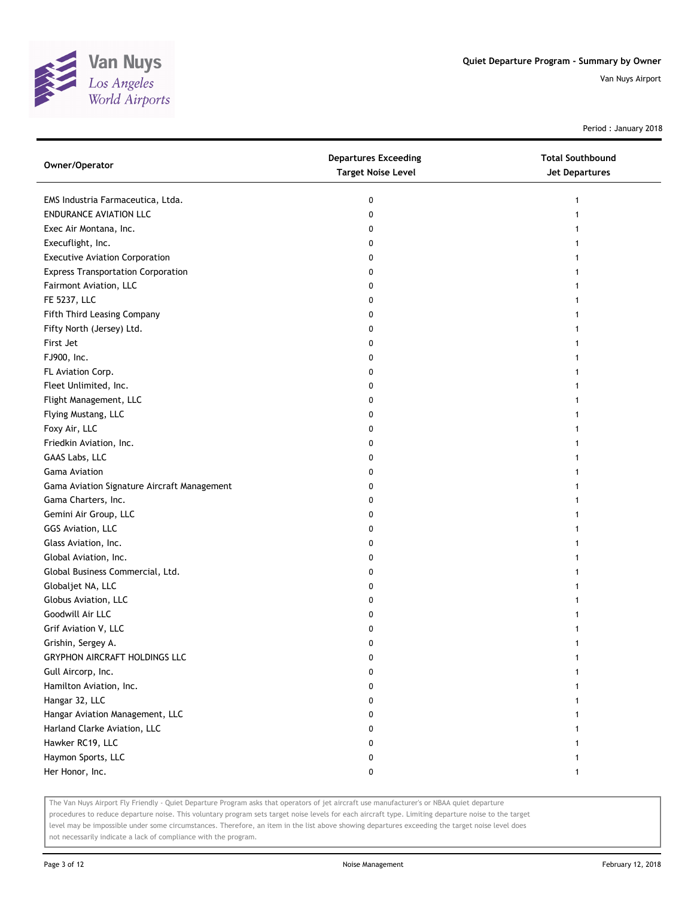

Period : January 2018

| Owner/Operator                              | <b>Departures Exceeding</b><br><b>Target Noise Level</b> | <b>Total Southbound</b><br>Jet Departures |
|---------------------------------------------|----------------------------------------------------------|-------------------------------------------|
| EMS Industria Farmaceutica, Ltda.           | 0                                                        | 1                                         |
| <b>ENDURANCE AVIATION LLC</b>               | 0                                                        |                                           |
| Exec Air Montana, Inc.                      | 0                                                        |                                           |
| Execuflight, Inc.                           | 0                                                        |                                           |
| <b>Executive Aviation Corporation</b>       | 0                                                        |                                           |
| <b>Express Transportation Corporation</b>   | 0                                                        |                                           |
| Fairmont Aviation, LLC                      | 0                                                        |                                           |
| FE 5237, LLC                                | 0                                                        |                                           |
| Fifth Third Leasing Company                 | 0                                                        |                                           |
| Fifty North (Jersey) Ltd.                   | 0                                                        |                                           |
| First Jet                                   | 0                                                        |                                           |
| FJ900, Inc.                                 | 0                                                        |                                           |
| FL Aviation Corp.                           | 0                                                        |                                           |
| Fleet Unlimited, Inc.                       | 0                                                        |                                           |
| Flight Management, LLC                      | 0                                                        | 1                                         |
| Flying Mustang, LLC                         | 0                                                        |                                           |
| Foxy Air, LLC                               | 0                                                        |                                           |
| Friedkin Aviation, Inc.                     | 0                                                        |                                           |
| GAAS Labs, LLC                              | 0                                                        |                                           |
| Gama Aviation                               | 0                                                        |                                           |
| Gama Aviation Signature Aircraft Management | 0                                                        |                                           |
| Gama Charters, Inc.                         | 0                                                        |                                           |
| Gemini Air Group, LLC                       | 0                                                        |                                           |
| GGS Aviation, LLC                           | 0                                                        |                                           |
| Glass Aviation, Inc.                        | 0                                                        |                                           |
| Global Aviation, Inc.                       | 0                                                        |                                           |
| Global Business Commercial, Ltd.            | 0                                                        |                                           |
| Globaljet NA, LLC                           | 0                                                        |                                           |
| Globus Aviation, LLC                        | 0                                                        |                                           |
| Goodwill Air LLC                            | 0                                                        |                                           |
| Grif Aviation V, LLC                        | 0                                                        |                                           |
| Grishin, Sergey A.                          | 0                                                        |                                           |
| GRYPHON AIRCRAFT HOLDINGS LLC               | 0                                                        |                                           |
| Gull Aircorp, Inc.                          | 0                                                        |                                           |
| Hamilton Aviation, Inc.                     | 0                                                        |                                           |
| Hangar 32, LLC                              | 0                                                        |                                           |
| Hangar Aviation Management, LLC             | 0                                                        |                                           |
| Harland Clarke Aviation, LLC                | 0                                                        |                                           |
| Hawker RC19, LLC                            | 0                                                        |                                           |
| Haymon Sports, LLC                          | 0                                                        |                                           |
| Her Honor, Inc.                             | 0                                                        | 1                                         |

The Van Nuys Airport Fly Friendly - Quiet Departure Program asks that operators of jet aircraft use manufacturer's or NBAA quiet departure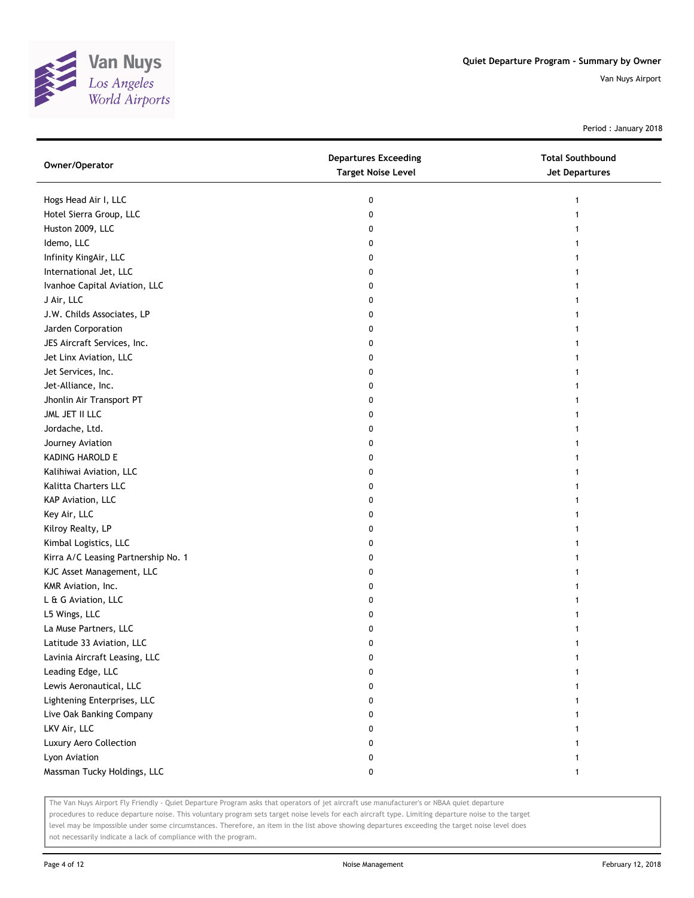

Period : January 2018

| Owner/Operator                      | <b>Departures Exceeding</b><br><b>Target Noise Level</b> | <b>Total Southbound</b><br><b>Jet Departures</b> |
|-------------------------------------|----------------------------------------------------------|--------------------------------------------------|
| Hogs Head Air I, LLC                | 0                                                        | 1                                                |
| Hotel Sierra Group, LLC             | 0                                                        | 1                                                |
| Huston 2009, LLC                    | 0                                                        | 1                                                |
| Idemo, LLC                          | 0                                                        | 1                                                |
| Infinity KingAir, LLC               | 0                                                        | 1                                                |
| International Jet, LLC              | 0                                                        | 1                                                |
| Ivanhoe Capital Aviation, LLC       | 0                                                        | $\mathbf{1}$                                     |
| J Air, LLC                          | 0                                                        |                                                  |
| J.W. Childs Associates, LP          | 0                                                        |                                                  |
| Jarden Corporation                  | 0                                                        |                                                  |
| JES Aircraft Services, Inc.         | 0                                                        |                                                  |
| Jet Linx Aviation, LLC              | 0                                                        |                                                  |
| Jet Services, Inc.                  | 0                                                        | 1                                                |
| Jet-Alliance, Inc.                  | 0                                                        | 1                                                |
| Jhonlin Air Transport PT            | 0                                                        | 1                                                |
| JML JET II LLC                      | 0                                                        |                                                  |
| Jordache, Ltd.                      | 0                                                        |                                                  |
| Journey Aviation                    | 0                                                        |                                                  |
| KADING HAROLD E                     | 0                                                        |                                                  |
| Kalihiwai Aviation, LLC             | 0                                                        |                                                  |
| Kalitta Charters LLC                | 0                                                        |                                                  |
| KAP Aviation, LLC                   | 0                                                        |                                                  |
| Key Air, LLC                        | 0                                                        | 1                                                |
| Kilroy Realty, LP                   | 0                                                        | 1                                                |
| Kimbal Logistics, LLC               | 0                                                        | 1                                                |
| Kirra A/C Leasing Partnership No. 1 | 0                                                        |                                                  |
| KJC Asset Management, LLC           | 0                                                        |                                                  |
| KMR Aviation, Inc.                  | 0                                                        |                                                  |
| L & G Aviation, LLC                 | 0                                                        |                                                  |
| L5 Wings, LLC                       | 0                                                        |                                                  |
| La Muse Partners, LLC               | 0                                                        |                                                  |
| Latitude 33 Aviation, LLC           | 0                                                        | 1                                                |
| Lavinia Aircraft Leasing, LLC       | 0                                                        | 1                                                |
| Leading Edge, LLC                   | 0                                                        |                                                  |
| Lewis Aeronautical, LLC             | 0                                                        |                                                  |
| Lightening Enterprises, LLC         | 0                                                        |                                                  |
| Live Oak Banking Company            | 0                                                        |                                                  |
| LKV Air, LLC                        | 0                                                        |                                                  |
| Luxury Aero Collection              | 0                                                        |                                                  |
| Lyon Aviation                       | 0                                                        |                                                  |
| Massman Tucky Holdings, LLC         | 0                                                        | 1                                                |

The Van Nuys Airport Fly Friendly - Quiet Departure Program asks that operators of jet aircraft use manufacturer's or NBAA quiet departure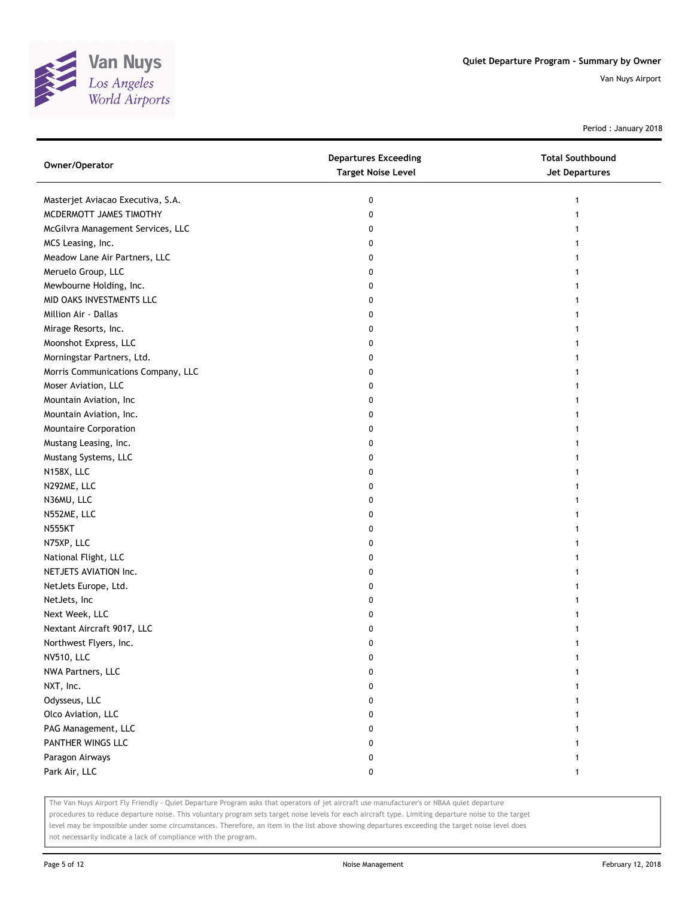

Period : January 2018

| Owner/Operator                     | <b>Departures Exceeding</b><br><b>Target Noise Level</b> | <b>Total Southbound</b><br>Jet Departures |
|------------------------------------|----------------------------------------------------------|-------------------------------------------|
| Masterjet Aviacao Executiva, S.A.  | 0                                                        | 1                                         |
| MCDERMOTT JAMES TIMOTHY            | 0                                                        |                                           |
| McGilvra Management Services, LLC  | 0                                                        |                                           |
| MCS Leasing, Inc.                  | 0                                                        |                                           |
| Meadow Lane Air Partners, LLC      | 0                                                        |                                           |
| Meruelo Group, LLC                 | 0                                                        |                                           |
| Mewbourne Holding, Inc.            | 0                                                        |                                           |
| MID OAKS INVESTMENTS LLC           | 0                                                        |                                           |
| Million Air - Dallas               | 0                                                        |                                           |
| Mirage Resorts, Inc.               | 0                                                        |                                           |
| Moonshot Express, LLC              | 0                                                        |                                           |
| Morningstar Partners, Ltd.         | 0                                                        |                                           |
| Morris Communications Company, LLC | 0                                                        |                                           |
| Moser Aviation, LLC                | 0                                                        |                                           |
| Mountain Aviation, Inc             | 0                                                        |                                           |
| Mountain Aviation, Inc.            | 0                                                        |                                           |
| Mountaire Corporation              | 0                                                        |                                           |
| Mustang Leasing, Inc.              | 0                                                        |                                           |
| Mustang Systems, LLC               | 0                                                        |                                           |
| N158X, LLC                         | 0                                                        |                                           |
| N292ME, LLC                        | 0                                                        |                                           |
| N36MU, LLC                         | 0                                                        |                                           |
| N552ME, LLC                        | 0                                                        |                                           |
| <b>N555KT</b>                      | 0                                                        |                                           |
| N75XP, LLC                         | 0                                                        |                                           |
| National Flight, LLC               | 0                                                        |                                           |
| NETJETS AVIATION Inc.              | 0                                                        |                                           |
| NetJets Europe, Ltd.               | 0                                                        |                                           |
| NetJets, Inc                       | 0                                                        |                                           |
| Next Week, LLC                     | 0                                                        |                                           |
| Nextant Aircraft 9017, LLC         | 0                                                        |                                           |
| Northwest Flyers, Inc.             | 0                                                        |                                           |
| NV510, LLC                         | 0                                                        |                                           |
| NWA Partners, LLC                  | 0                                                        |                                           |
| NXT, Inc.                          | 0                                                        |                                           |
| Odysseus, LLC                      | 0                                                        |                                           |
| Olco Aviation, LLC                 | 0                                                        |                                           |
| PAG Management, LLC                | 0                                                        |                                           |
| PANTHER WINGS LLC                  | 0                                                        |                                           |
| Paragon Airways                    | 0                                                        |                                           |
| Park Air, LLC                      | 0                                                        |                                           |

The Van Nuys Airport Fly Friendly - Quiet Departure Program asks that operators of jet aircraft use manufacturer's or NBAA quiet departure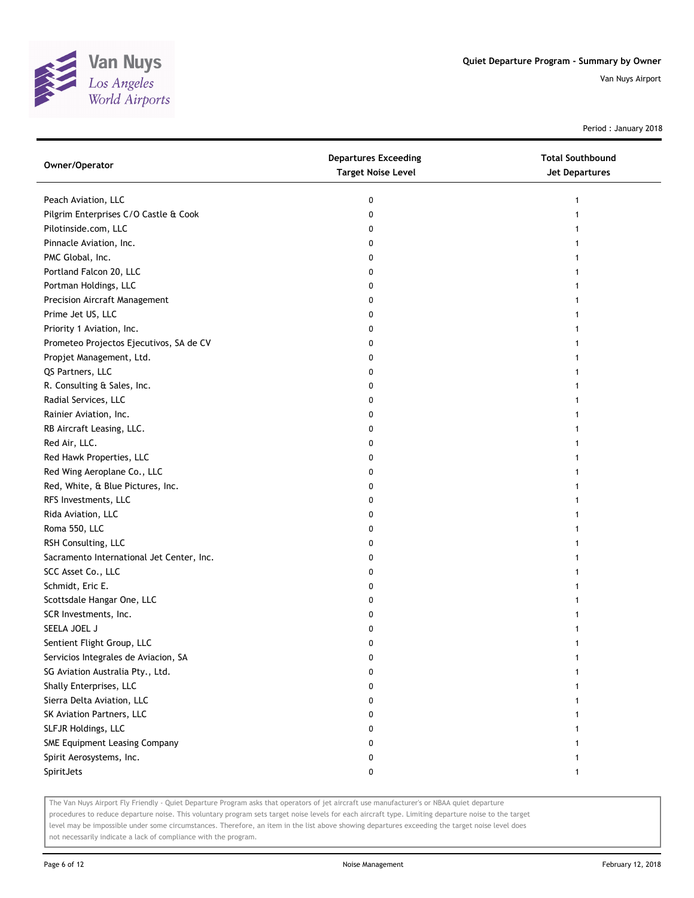

Period : January 2018

| Owner/Operator                            | <b>Departures Exceeding</b><br><b>Target Noise Level</b> | <b>Total Southbound</b><br>Jet Departures |
|-------------------------------------------|----------------------------------------------------------|-------------------------------------------|
| Peach Aviation, LLC                       | 0                                                        |                                           |
| Pilgrim Enterprises C/O Castle & Cook     | 0                                                        |                                           |
| Pilotinside.com, LLC                      | 0                                                        |                                           |
| Pinnacle Aviation, Inc.                   | 0                                                        |                                           |
| PMC Global, Inc.                          | 0                                                        |                                           |
| Portland Falcon 20, LLC                   | 0                                                        |                                           |
| Portman Holdings, LLC                     | 0                                                        |                                           |
| <b>Precision Aircraft Management</b>      | 0                                                        |                                           |
| Prime Jet US, LLC                         | 0                                                        |                                           |
| Priority 1 Aviation, Inc.                 | 0                                                        |                                           |
| Prometeo Projectos Ejecutivos, SA de CV   | 0                                                        |                                           |
| Propjet Management, Ltd.                  | 0                                                        |                                           |
| QS Partners, LLC                          | 0                                                        |                                           |
| R. Consulting & Sales, Inc.               | 0                                                        |                                           |
| Radial Services, LLC                      | 0                                                        |                                           |
| Rainier Aviation, Inc.                    | 0                                                        |                                           |
| RB Aircraft Leasing, LLC.                 | 0                                                        |                                           |
| Red Air, LLC.                             | 0                                                        |                                           |
| Red Hawk Properties, LLC                  | 0                                                        |                                           |
| Red Wing Aeroplane Co., LLC               | 0                                                        |                                           |
| Red, White, & Blue Pictures, Inc.         | 0                                                        |                                           |
| RFS Investments, LLC                      | 0                                                        |                                           |
| Rida Aviation, LLC                        | 0                                                        |                                           |
| Roma 550, LLC                             | 0                                                        |                                           |
| RSH Consulting, LLC                       | 0                                                        |                                           |
| Sacramento International Jet Center, Inc. | 0                                                        |                                           |
| SCC Asset Co., LLC                        | 0                                                        |                                           |
| Schmidt, Eric E.                          | 0                                                        |                                           |
| Scottsdale Hangar One, LLC                | 0                                                        |                                           |
| SCR Investments, Inc.                     | 0                                                        |                                           |
| SEELA JOEL J                              | 0                                                        |                                           |
| Sentient Flight Group, LLC                | 0                                                        |                                           |
| Servicios Integrales de Aviacion, SA      | 0                                                        |                                           |
| SG Aviation Australia Pty., Ltd.          |                                                          |                                           |
| Shally Enterprises, LLC                   | 0                                                        |                                           |
| Sierra Delta Aviation, LLC                | 0                                                        |                                           |
| SK Aviation Partners, LLC                 | 0                                                        |                                           |
| SLFJR Holdings, LLC                       | 0                                                        |                                           |
| SME Equipment Leasing Company             | 0                                                        |                                           |
| Spirit Aerosystems, Inc.                  | 0                                                        |                                           |
| SpiritJets                                | 0                                                        | 1                                         |

The Van Nuys Airport Fly Friendly - Quiet Departure Program asks that operators of jet aircraft use manufacturer's or NBAA quiet departure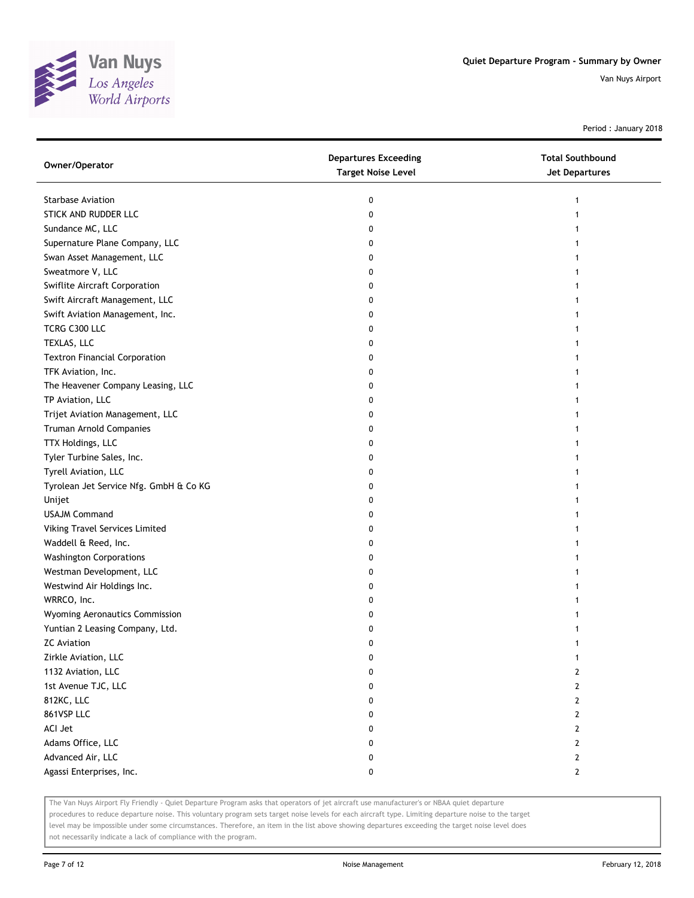

Period : January 2018

| Owner/Operator                         | <b>Departures Exceeding</b><br><b>Target Noise Level</b> | <b>Total Southbound</b><br>Jet Departures |
|----------------------------------------|----------------------------------------------------------|-------------------------------------------|
| <b>Starbase Aviation</b>               | 0                                                        | 1                                         |
| STICK AND RUDDER LLC                   | 0                                                        |                                           |
| Sundance MC, LLC                       | 0                                                        |                                           |
| Supernature Plane Company, LLC         | 0                                                        |                                           |
| Swan Asset Management, LLC             | 0                                                        |                                           |
| Sweatmore V, LLC                       | 0                                                        |                                           |
| Swiflite Aircraft Corporation          | 0                                                        |                                           |
| Swift Aircraft Management, LLC         | 0                                                        |                                           |
| Swift Aviation Management, Inc.        | 0                                                        |                                           |
| TCRG C300 LLC                          | 0                                                        |                                           |
| TEXLAS, LLC                            | 0                                                        |                                           |
| <b>Textron Financial Corporation</b>   | 0                                                        |                                           |
| TFK Aviation, Inc.                     | 0                                                        |                                           |
| The Heavener Company Leasing, LLC      | 0                                                        |                                           |
| TP Aviation, LLC                       | 0                                                        |                                           |
| Trijet Aviation Management, LLC        | 0                                                        | 1                                         |
| Truman Arnold Companies                | 0                                                        |                                           |
| TTX Holdings, LLC                      | 0                                                        |                                           |
| Tyler Turbine Sales, Inc.              | 0                                                        |                                           |
| Tyrell Aviation, LLC                   | 0                                                        |                                           |
| Tyrolean Jet Service Nfg. GmbH & Co KG | 0                                                        |                                           |
| Unijet                                 | 0                                                        |                                           |
| <b>USAJM Command</b>                   | 0                                                        |                                           |
| Viking Travel Services Limited         | 0                                                        |                                           |
| Waddell & Reed, Inc.                   | 0                                                        |                                           |
| <b>Washington Corporations</b>         | 0                                                        |                                           |
| Westman Development, LLC               | 0                                                        |                                           |
| Westwind Air Holdings Inc.             | 0                                                        |                                           |
| WRRCO, Inc.                            | 0                                                        |                                           |
| Wyoming Aeronautics Commission         | 0                                                        |                                           |
| Yuntian 2 Leasing Company, Ltd.        | 0                                                        |                                           |
| <b>ZC Aviation</b>                     | 0                                                        |                                           |
| Zirkle Aviation, LLC                   | 0                                                        | 1                                         |
| 1132 Aviation, LLC                     | 0                                                        | $\mathbf{2}$                              |
| 1st Avenue TJC, LLC                    | 0                                                        | 2                                         |
| 812KC, LLC                             | 0                                                        | 2                                         |
| 861VSP LLC                             | 0                                                        | 2                                         |
| ACI Jet                                | 0                                                        | 2                                         |
| Adams Office, LLC                      | 0                                                        | 2                                         |
| Advanced Air, LLC                      | 0                                                        | 2                                         |
| Agassi Enterprises, Inc.               | 0                                                        | $\mathbf{2}$                              |

The Van Nuys Airport Fly Friendly - Quiet Departure Program asks that operators of jet aircraft use manufacturer's or NBAA quiet departure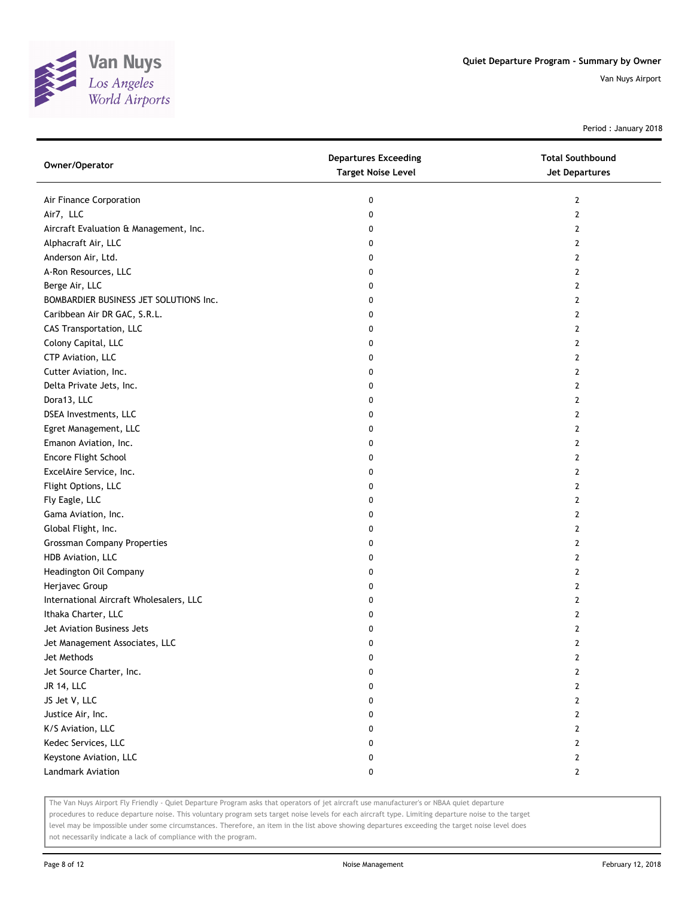

Period : January 2018

| Air Finance Corporation<br>0<br>2<br>Air7, LLC<br>0<br>2<br>Aircraft Evaluation & Management, Inc.<br>0<br>2<br>Alphacraft Air, LLC<br>0<br>2<br>Anderson Air, Ltd.<br>2<br>0<br>0<br>2<br>Berge Air, LLC<br>0<br>2<br>0<br>2<br>0<br>2<br>0<br>2<br>0<br>2<br>0<br>2<br>0<br>2<br>0<br>2<br>2<br>0<br>2<br>0<br>0<br>2<br>0<br>2<br>0<br>2<br>0<br>2<br>0<br>2<br>0<br>2<br>0<br>2<br>0<br>2 | Owner/Operator                          | <b>Departures Exceeding</b><br><b>Target Noise Level</b> | <b>Total Southbound</b><br>Jet Departures |
|-----------------------------------------------------------------------------------------------------------------------------------------------------------------------------------------------------------------------------------------------------------------------------------------------------------------------------------------------------------------------------------------------|-----------------------------------------|----------------------------------------------------------|-------------------------------------------|
|                                                                                                                                                                                                                                                                                                                                                                                               |                                         |                                                          |                                           |
|                                                                                                                                                                                                                                                                                                                                                                                               |                                         |                                                          |                                           |
|                                                                                                                                                                                                                                                                                                                                                                                               |                                         |                                                          |                                           |
|                                                                                                                                                                                                                                                                                                                                                                                               |                                         |                                                          |                                           |
|                                                                                                                                                                                                                                                                                                                                                                                               |                                         |                                                          |                                           |
|                                                                                                                                                                                                                                                                                                                                                                                               | A-Ron Resources, LLC                    |                                                          |                                           |
|                                                                                                                                                                                                                                                                                                                                                                                               |                                         |                                                          |                                           |
|                                                                                                                                                                                                                                                                                                                                                                                               | BOMBARDIER BUSINESS JET SOLUTIONS Inc.  |                                                          |                                           |
|                                                                                                                                                                                                                                                                                                                                                                                               | Caribbean Air DR GAC, S.R.L.            |                                                          |                                           |
|                                                                                                                                                                                                                                                                                                                                                                                               | CAS Transportation, LLC                 |                                                          |                                           |
|                                                                                                                                                                                                                                                                                                                                                                                               | Colony Capital, LLC                     |                                                          |                                           |
|                                                                                                                                                                                                                                                                                                                                                                                               | CTP Aviation, LLC                       |                                                          |                                           |
|                                                                                                                                                                                                                                                                                                                                                                                               | Cutter Aviation, Inc.                   |                                                          |                                           |
|                                                                                                                                                                                                                                                                                                                                                                                               | Delta Private Jets, Inc.                |                                                          |                                           |
|                                                                                                                                                                                                                                                                                                                                                                                               | Dora13, LLC                             |                                                          |                                           |
|                                                                                                                                                                                                                                                                                                                                                                                               | DSEA Investments, LLC                   |                                                          |                                           |
|                                                                                                                                                                                                                                                                                                                                                                                               | Egret Management, LLC                   |                                                          |                                           |
|                                                                                                                                                                                                                                                                                                                                                                                               | Emanon Aviation, Inc.                   |                                                          |                                           |
|                                                                                                                                                                                                                                                                                                                                                                                               | Encore Flight School                    |                                                          |                                           |
|                                                                                                                                                                                                                                                                                                                                                                                               | ExcelAire Service, Inc.                 |                                                          |                                           |
|                                                                                                                                                                                                                                                                                                                                                                                               | Flight Options, LLC                     |                                                          |                                           |
|                                                                                                                                                                                                                                                                                                                                                                                               | Fly Eagle, LLC                          |                                                          |                                           |
|                                                                                                                                                                                                                                                                                                                                                                                               | Gama Aviation, Inc.                     |                                                          |                                           |
|                                                                                                                                                                                                                                                                                                                                                                                               | Global Flight, Inc.                     |                                                          |                                           |
|                                                                                                                                                                                                                                                                                                                                                                                               | <b>Grossman Company Properties</b>      | 0                                                        | 2                                         |
| 2<br>0                                                                                                                                                                                                                                                                                                                                                                                        | HDB Aviation, LLC                       |                                                          |                                           |
| 0<br>2                                                                                                                                                                                                                                                                                                                                                                                        | Headington Oil Company                  |                                                          |                                           |
| 0<br>2                                                                                                                                                                                                                                                                                                                                                                                        | Herjavec Group                          |                                                          |                                           |
| 0<br>2                                                                                                                                                                                                                                                                                                                                                                                        | International Aircraft Wholesalers, LLC |                                                          |                                           |
| 0<br>2                                                                                                                                                                                                                                                                                                                                                                                        | Ithaka Charter, LLC                     |                                                          |                                           |
| 0<br>2                                                                                                                                                                                                                                                                                                                                                                                        | Jet Aviation Business Jets              |                                                          |                                           |
| 2<br>0                                                                                                                                                                                                                                                                                                                                                                                        | Jet Management Associates, LLC          |                                                          |                                           |
| 0<br>2                                                                                                                                                                                                                                                                                                                                                                                        | Jet Methods                             |                                                          |                                           |
| 0<br>2                                                                                                                                                                                                                                                                                                                                                                                        | Jet Source Charter, Inc.                |                                                          |                                           |
| $\mathbf 0$<br>$\mathbf{2}$                                                                                                                                                                                                                                                                                                                                                                   | <b>JR 14, LLC</b>                       |                                                          |                                           |
| 2<br>0                                                                                                                                                                                                                                                                                                                                                                                        | JS Jet V, LLC                           |                                                          |                                           |
| $\mathbf{2}$<br>0                                                                                                                                                                                                                                                                                                                                                                             | Justice Air, Inc.                       |                                                          |                                           |
| 0<br>2                                                                                                                                                                                                                                                                                                                                                                                        | K/S Aviation, LLC                       |                                                          |                                           |
| 0<br>2                                                                                                                                                                                                                                                                                                                                                                                        | Kedec Services, LLC                     |                                                          |                                           |
| 0<br>2                                                                                                                                                                                                                                                                                                                                                                                        | Keystone Aviation, LLC                  |                                                          |                                           |
| 0<br>$\mathbf{2}$                                                                                                                                                                                                                                                                                                                                                                             | Landmark Aviation                       |                                                          |                                           |

The Van Nuys Airport Fly Friendly - Quiet Departure Program asks that operators of jet aircraft use manufacturer's or NBAA quiet departure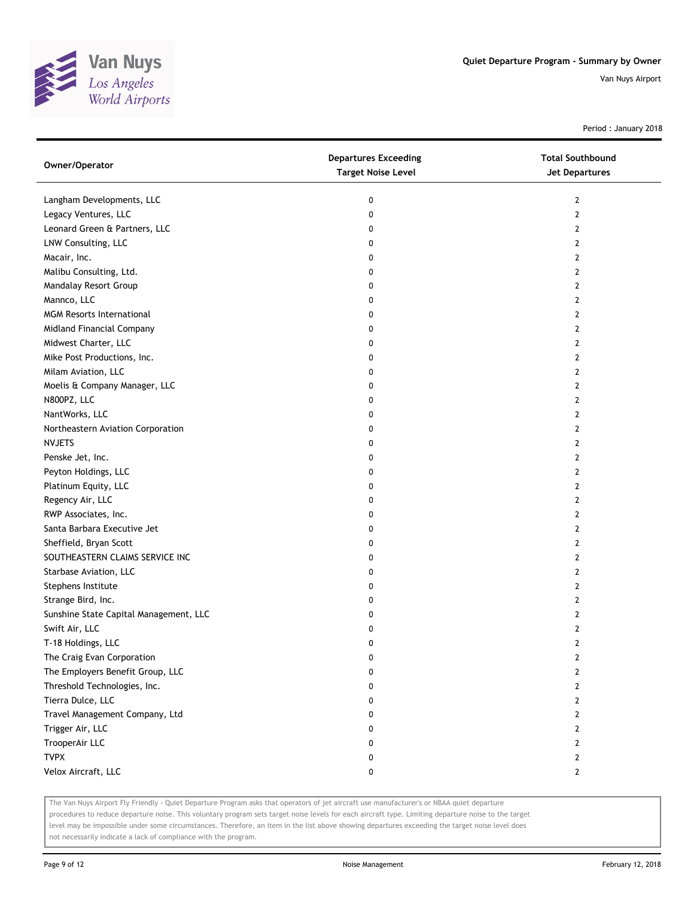

Period : January 2018

| Owner/Operator                         | <b>Departures Exceeding</b><br><b>Target Noise Level</b> | <b>Total Southbound</b><br><b>Jet Departures</b> |
|----------------------------------------|----------------------------------------------------------|--------------------------------------------------|
| Langham Developments, LLC              | 0                                                        | $\overline{2}$                                   |
| Legacy Ventures, LLC                   | 0                                                        | 2                                                |
| Leonard Green & Partners, LLC          | 0                                                        | 2                                                |
| LNW Consulting, LLC                    | 0                                                        | 2                                                |
| Macair, Inc.                           | 0                                                        | 2                                                |
| Malibu Consulting, Ltd.                | 0                                                        | 2                                                |
| Mandalay Resort Group                  | 0                                                        | 2                                                |
| Mannco, LLC                            | 0                                                        | 2                                                |
| <b>MGM Resorts International</b>       | 0                                                        | 2                                                |
| Midland Financial Company              | 0                                                        | $\overline{2}$                                   |
| Midwest Charter, LLC                   | 0                                                        | 2                                                |
| Mike Post Productions, Inc.            | 0                                                        | 2                                                |
| Milam Aviation, LLC                    | 0                                                        | 2                                                |
| Moelis & Company Manager, LLC          | 0                                                        | 2                                                |
| N800PZ, LLC                            | 0                                                        | 2                                                |
| NantWorks, LLC                         | 0                                                        | $\overline{2}$                                   |
| Northeastern Aviation Corporation      | 0                                                        | 2                                                |
| <b>NVJETS</b>                          | 0                                                        | 2                                                |
| Penske Jet, Inc.                       | 0                                                        | 2                                                |
| Peyton Holdings, LLC                   | 0                                                        | $\overline{2}$                                   |
| Platinum Equity, LLC                   | 0                                                        | $\overline{2}$                                   |
| Regency Air, LLC                       | 0                                                        | 2                                                |
| RWP Associates, Inc.                   | 0                                                        | 2                                                |
| Santa Barbara Executive Jet            | 0                                                        | 2                                                |
| Sheffield, Bryan Scott                 | 0                                                        | 2                                                |
| SOUTHEASTERN CLAIMS SERVICE INC        | 0                                                        | 2                                                |
| Starbase Aviation, LLC                 | 0                                                        | 2                                                |
| Stephens Institute                     | 0                                                        | 2                                                |
| Strange Bird, Inc.                     | 0                                                        | 2                                                |
| Sunshine State Capital Management, LLC | 0                                                        | $\overline{2}$                                   |
| Swift Air, LLC                         | 0                                                        | $\overline{2}$                                   |
| T-18 Holdings, LLC                     | 0                                                        | $\overline{2}$                                   |
| The Craig Evan Corporation             | 0                                                        | 2                                                |
| The Employers Benefit Group, LLC       | 0                                                        | 2                                                |
| Threshold Technologies, Inc.           | 0                                                        | $\mathbf{2}$                                     |
| Tierra Dulce, LLC                      | 0                                                        | $\mathbf{2}$                                     |
| Travel Management Company, Ltd         | 0                                                        | $\overline{2}$                                   |
| Trigger Air, LLC                       | 0                                                        | 2                                                |
| TrooperAir LLC                         | 0                                                        | $\mathbf{2}$                                     |
| <b>TVPX</b>                            | 0                                                        | $\mathbf{2}$                                     |
| Velox Aircraft, LLC                    | 0                                                        | $\mathbf{2}$                                     |

The Van Nuys Airport Fly Friendly - Quiet Departure Program asks that operators of jet aircraft use manufacturer's or NBAA quiet departure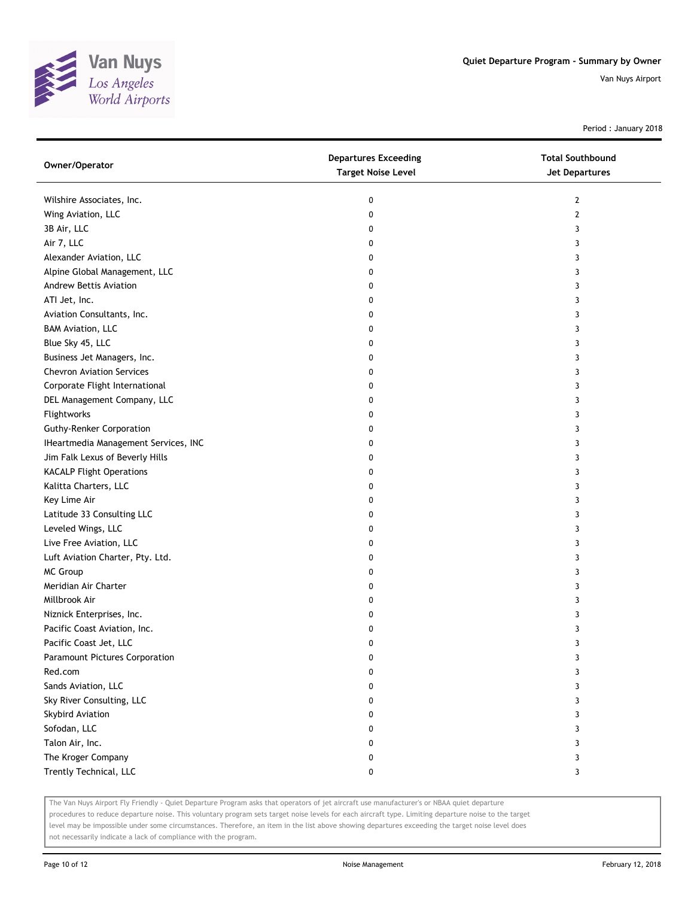

Period : January 2018

| Owner/Operator                       | <b>Departures Exceeding</b><br><b>Target Noise Level</b> | <b>Total Southbound</b><br><b>Jet Departures</b> |
|--------------------------------------|----------------------------------------------------------|--------------------------------------------------|
| Wilshire Associates, Inc.            | 0                                                        | 2                                                |
| Wing Aviation, LLC                   | 0                                                        | 2                                                |
| 3B Air, LLC                          | 0                                                        | 3                                                |
| Air 7, LLC                           | 0                                                        | 3                                                |
| Alexander Aviation, LLC              | 0                                                        | 3                                                |
| Alpine Global Management, LLC        | 0                                                        | 3                                                |
| Andrew Bettis Aviation               | 0                                                        | 3                                                |
| ATI Jet, Inc.                        | 0                                                        | 3                                                |
| Aviation Consultants, Inc.           | 0                                                        | 3                                                |
| <b>BAM Aviation, LLC</b>             | 0                                                        | 3                                                |
| Blue Sky 45, LLC                     | 0                                                        | 3                                                |
| Business Jet Managers, Inc.          | 0                                                        | 3                                                |
| <b>Chevron Aviation Services</b>     | 0                                                        | 3                                                |
| Corporate Flight International       | 0                                                        | 3                                                |
| DEL Management Company, LLC          | 0                                                        | 3                                                |
| Flightworks                          | 0                                                        | 3                                                |
| <b>Guthy-Renker Corporation</b>      | 0                                                        | 3                                                |
| IHeartmedia Management Services, INC | 0                                                        | 3                                                |
| Jim Falk Lexus of Beverly Hills      | 0                                                        | 3                                                |
| <b>KACALP Flight Operations</b>      | 0                                                        | 3                                                |
| Kalitta Charters, LLC                | 0                                                        | 3                                                |
| Key Lime Air                         | 0                                                        | 3                                                |
| Latitude 33 Consulting LLC           | 0                                                        | 3                                                |
| Leveled Wings, LLC                   | 0                                                        | 3                                                |
| Live Free Aviation, LLC              | 0                                                        | 3                                                |
| Luft Aviation Charter, Pty. Ltd.     | 0                                                        | 3                                                |
| <b>MC Group</b>                      | 0                                                        | 3                                                |
| Meridian Air Charter                 | 0                                                        | 3                                                |
| Millbrook Air                        | 0                                                        | 3                                                |
| Niznick Enterprises, Inc.            | 0                                                        | 3                                                |
| Pacific Coast Aviation, Inc.         | 0                                                        | 3                                                |
| Pacific Coast Jet, LLC               | 0                                                        | 3                                                |
| Paramount Pictures Corporation       | 0                                                        | 3                                                |
| Red.com                              | 0                                                        | 3                                                |
| Sands Aviation, LLC                  | 0                                                        | 3                                                |
| Sky River Consulting, LLC            | 0                                                        | 3                                                |
| Skybird Aviation                     | 0                                                        | 3                                                |
| Sofodan, LLC                         | 0                                                        | 3                                                |
| Talon Air, Inc.                      | 0                                                        | 3                                                |
| The Kroger Company                   | 0                                                        | 3                                                |
| Trently Technical, LLC               | 0                                                        | 3                                                |

The Van Nuys Airport Fly Friendly - Quiet Departure Program asks that operators of jet aircraft use manufacturer's or NBAA quiet departure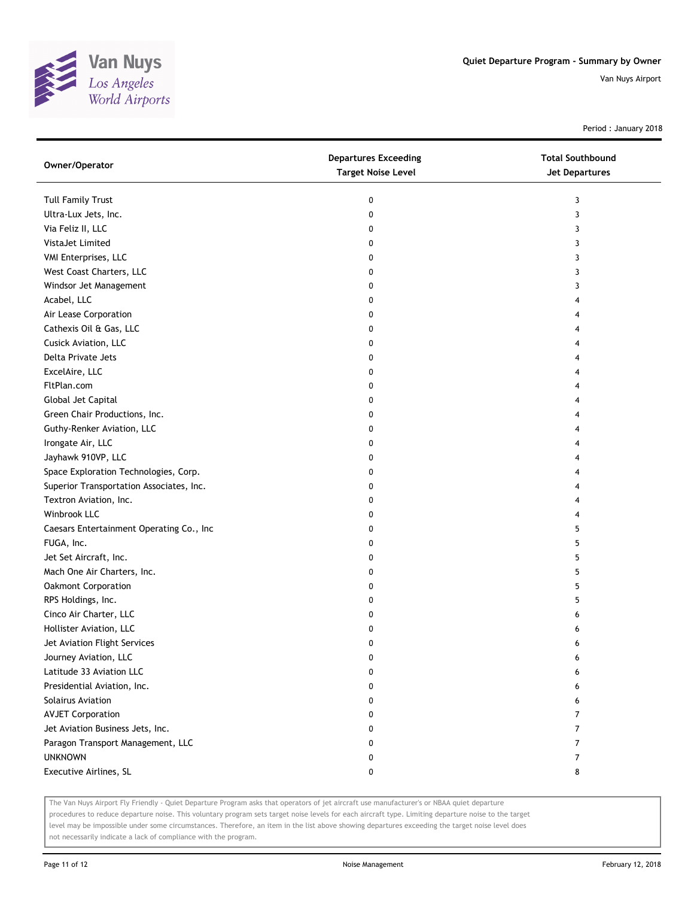

Period : January 2018

| Owner/Operator                           | <b>Departures Exceeding</b><br><b>Target Noise Level</b> | <b>Total Southbound</b><br>Jet Departures |
|------------------------------------------|----------------------------------------------------------|-------------------------------------------|
| <b>Tull Family Trust</b>                 | 0                                                        | 3                                         |
| Ultra-Lux Jets, Inc.                     | 0                                                        | 3                                         |
| Via Feliz II, LLC                        | 0                                                        | 3                                         |
| VistaJet Limited                         | 0                                                        | 3                                         |
| VMI Enterprises, LLC                     | 0                                                        | 3                                         |
| West Coast Charters, LLC                 | 0                                                        | 3                                         |
| Windsor Jet Management                   | 0                                                        | 3                                         |
| Acabel, LLC                              | 0                                                        | 4                                         |
| Air Lease Corporation                    | 0                                                        |                                           |
| Cathexis Oil & Gas, LLC                  | 0                                                        |                                           |
| Cusick Aviation, LLC                     | 0                                                        |                                           |
| Delta Private Jets                       | 0                                                        |                                           |
| ExcelAire, LLC                           | 0                                                        |                                           |
| FltPlan.com                              | 0                                                        |                                           |
| Global Jet Capital                       | 0                                                        | 4                                         |
| Green Chair Productions, Inc.            | 0                                                        | 4                                         |
| Guthy-Renker Aviation, LLC               | 0                                                        | 4                                         |
| Irongate Air, LLC                        | 0                                                        |                                           |
| Jayhawk 910VP, LLC                       | 0                                                        |                                           |
| Space Exploration Technologies, Corp.    | 0                                                        |                                           |
| Superior Transportation Associates, Inc. | 0                                                        |                                           |
| Textron Aviation, Inc.                   | 0                                                        | 4                                         |
| Winbrook LLC                             | 0                                                        | 4                                         |
| Caesars Entertainment Operating Co., Inc | 0                                                        | 5                                         |
| FUGA, Inc.                               | 0                                                        | 5                                         |
| Jet Set Aircraft, Inc.                   | 0                                                        | 5                                         |
| Mach One Air Charters, Inc.              | 0                                                        | 5                                         |
| Oakmont Corporation                      | 0                                                        | 5                                         |
| RPS Holdings, Inc.                       | 0                                                        | 5                                         |
| Cinco Air Charter, LLC                   | 0                                                        | 6                                         |
| Hollister Aviation, LLC                  | 0                                                        | 6                                         |
| Jet Aviation Flight Services             | 0                                                        | 6                                         |
| Journey Aviation, LLC                    | 0                                                        | 6                                         |
| Latitude 33 Aviation LLC                 | 0                                                        | 6                                         |
| Presidential Aviation, Inc.              | 0                                                        | 6                                         |
| Solairus Aviation                        | 0                                                        | 6                                         |
| <b>AVJET Corporation</b>                 | 0                                                        | 7                                         |
| Jet Aviation Business Jets, Inc.         | 0                                                        | 7                                         |
| Paragon Transport Management, LLC        | 0                                                        | $\overline{7}$                            |
| <b>UNKNOWN</b>                           | 0                                                        | 7                                         |
| Executive Airlines, SL                   | 0                                                        | 8                                         |

The Van Nuys Airport Fly Friendly - Quiet Departure Program asks that operators of jet aircraft use manufacturer's or NBAA quiet departure